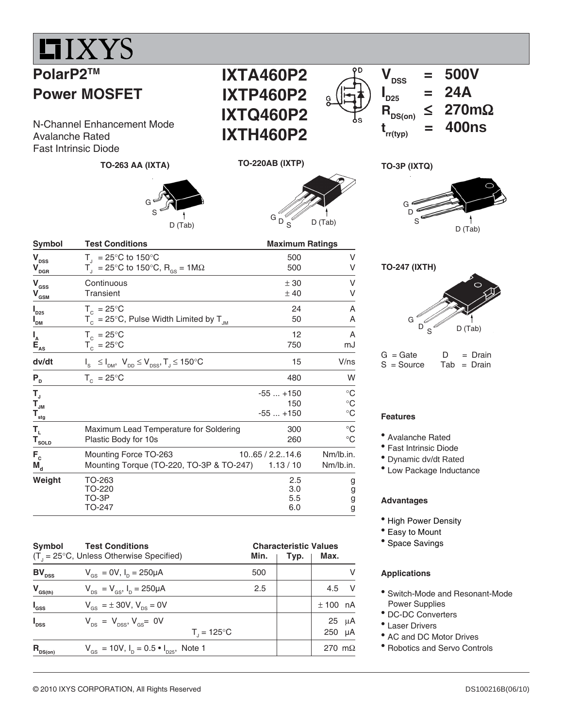## $\blacksquare$ IXYS

## **PolarP2TM Power MOSFET**

N-Channel Enhancement Mode<br> **transfer Dated**<br> **trivel Enhancement Mode**<br> **NTH460P2** Avalanche Rated Fast Intrinsic Diode

**TO-263 AA (IXTA)**





### **TO-220AB (IXTP)**



**Symbol Test Conditions Conditions Conditions Conditions Conditions Conditions Conditions Conditions Conditions** D S **TO-247 (IXTH)**



 $\overline{V}_{\text{neg}}$  = 500V

 $I_{D25}$  = 24A<br> $R_{DS(on)} \le 270r$ 

**RDS(on)** ≤ **270m**Ω

D (Tab)

 $\mathbf{I}_{\text{D25}}$ 

**TO-3P (IXTQ)**

G

| $G =$ Gate   | D | $=$ Drain     |
|--------------|---|---------------|
| $S = Source$ |   | $Tab = Drain$ |

#### **Features**

- Avalanche Rated
- Fast Intrinsic Diode
- Dynamic dv/dt Rated
- Low Package Inductance

## **Advantages**

- High Power Density
- Easy to Mount
- Space Savings

#### **Applications**

- Switch-Mode and Resonant-Mode Power Supplies
- DC-DC Converters
- Laser Drivers
- AC and DC Motor Drives
- Robotics and Servo Controls

| $\mathbf{V}_{\texttt{DSS}}$                                                       | $T_{\text{I}}$ = 25°C to 150°C                                                               | 500                      | v                |
|-----------------------------------------------------------------------------------|----------------------------------------------------------------------------------------------|--------------------------|------------------|
| $\mathbf{V}_{\underline{\mathbf{p}\underline{\mathbf{G}}}\underline{\mathbf{R}}}$ | $T_{\rm d}$ = 25°C to 150°C, R <sub>GS</sub> = 1MΩ                                           | 500                      | v                |
| $\mathbf{V}_{\rm GSS}$                                                            | Continuous                                                                                   | ± 30                     | v                |
| $\mathbf{V}_{\underline{\text{GSM}}}$                                             | <b>Transient</b>                                                                             | ±40                      | V                |
| $I_{D25}$                                                                         | $T_c = 25^{\circ}$ C                                                                         | 24                       | A                |
| " <sub>DM</sub>                                                                   | $T_c = 25^{\circ}$ C, Pulse Width Limited by $T_{\text{IM}}$                                 | 50                       | Α                |
| $\begin{array}{c}\nI_A \\ E_{AS} \\ \end{array}$                                  | $T_c = 25^{\circ}$ C                                                                         | 12                       | A                |
|                                                                                   | $T_c = 25^{\circ}C$                                                                          | 750                      | mJ               |
| dv/dt                                                                             | $I_{\rm s} \leq I_{\rm DM}$ , $V_{\rm DD} \leq V_{\rm DSS}$ , $T_{\rm J} \leq 150^{\circ}$ C | 15                       | V/ns             |
| $P_{D}$                                                                           | $T_c = 25^{\circ}C$                                                                          | 480                      | W                |
| т,                                                                                |                                                                                              | $-55+150$                | $^{\circ}C$      |
| $T_{_{\text{JM}}}$                                                                |                                                                                              | 150                      | $^{\circ}C$      |
| $\mathbf{T}_{\underline{\text{stg}}}$                                             |                                                                                              | $-55+150$                | $^{\circ}C$      |
| $\mathbf{T}_{\mathrm{L}}$                                                         | Maximum Lead Temperature for Soldering                                                       | 300                      | $^{\circ}C$      |
| $T_{\underline{{\scriptsize{\texttt{SOLD}}}}}$                                    | Plastic Body for 10s                                                                         | 260                      | $^{\circ}C$      |
| $F_c$                                                                             | Mounting Force TO-263                                                                        | 10.65 / 2.2.14.6         | Nm/lb.in.        |
| $M_{\rm d}$                                                                       | Mounting Torque (TO-220, TO-3P & TO-247)                                                     | 1.13 / 10                | Nm/lb.in.        |
| Weight                                                                            | TO-263<br>TO-220<br>TO-3P<br>TO-247                                                          | 2.5<br>3.0<br>5.5<br>6.0 | g<br>g<br>g<br>g |

| Symbol<br><b>Test Conditions</b><br>$(T1 = 25°C, Unless Otherwise Specifically)$<br>Min. |                                                                                  | <b>Characteristic Values</b><br>Max.<br>Typ. |  |                |            |
|------------------------------------------------------------------------------------------|----------------------------------------------------------------------------------|----------------------------------------------|--|----------------|------------|
| $BV_{DSS}$                                                                               | $V_{gs} = 0V$ , $I_{p} = 250 \mu A$                                              | 500                                          |  |                | v          |
| $V_{GS(th)}$                                                                             | $V_{DS} = V_{GS}$ , $I_{D} = 250 \mu A$                                          | 2.5                                          |  | 4.5            | - V        |
| $I_{\rm dss}$                                                                            | $V_{\text{GS}} = \pm 30V, V_{\text{DS}} = 0V$                                    |                                              |  | $± 100$ nA     |            |
| $I_{\text{DSS}}$                                                                         | $V_{\text{ps}} = V_{\text{ps}}$ , $V_{\text{ps}} = 0V$<br>$T_{1} = 125^{\circ}C$ |                                              |  | $250 \mu A$    | $25 \mu A$ |
| $R_{nS(0n)}$                                                                             | $V_{\text{GS}} = 10V$ , $I_{\text{D}} = 0.5 \cdot I_{\text{D25}}$ , Note 1       |                                              |  | 270 m $\Omega$ |            |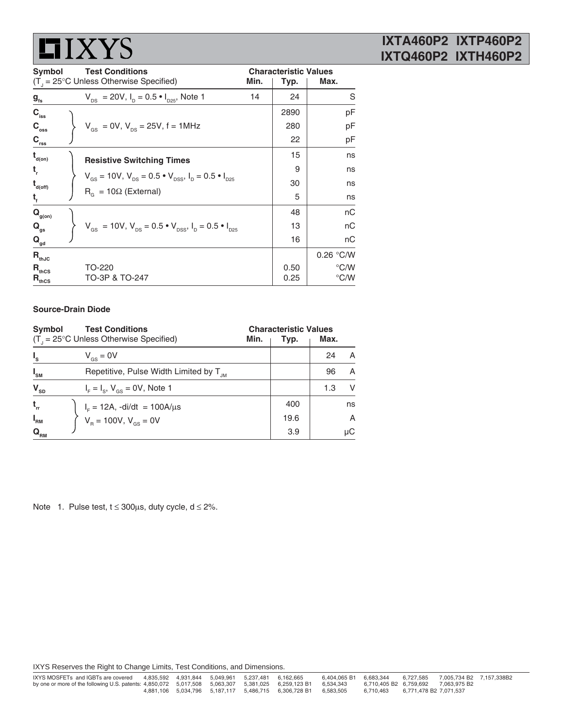# $\blacksquare$  IXYS

## **IXTA460P2 IXTP460P2 IXTQ460P2 IXTH460P2**

**Symbol Test Conditions Characteristic Values** (T<sub>J</sub> = 25°C Unless Otherwise Specified) **Min.** | **Typ.** | **Max. g<sub>ts</sub>**  $V_{DS} = 20V$ ,  $I_D = 0.5 \cdot I_{D25}$ , Note 1 14 24 S **C<sub>iss</sub> ) pF**  $\begin{array}{c|c|c|c|c|c} \mathbf{C}_{\text{oss}} & & \mathbf{V}_{\text{GS}} = \text{OV}, \mathbf{V}_{\text{DS}} = \text{25V}, \ \mathbf{f} = \text{1MHz} & & & \text{280} & & \text{pF} \\ \mathbf{C}_{\text{rec}} & & & & \text{22} & & \text{pF} \end{array}$ **Crss** 22 pF  $\mathbf{t}_{\mathsf{d}(\mathsf{on})}$  **Resistive Switching Times** 15 ns **t**  $\begin{bmatrix} 0 & 0 \\ 0 & 0 \end{bmatrix}$  ns **td(off)** 30 ns  $t_f$   $f_5$  ns **Q<sub>g(on)</sub>** and a natural population of the set of the set of the set of the set of the set of the set of the set of the set of the set of the set of the set of the set of the set of the set of the set of the set of the set  $\begin{array}{c} \n\mathbf{Q}_{\mathsf{g(on)}} \\
\mathbf{Q}_{\mathsf{gs}} \\
\mathbf{Q}_{\mathsf{gs}}\n\end{array}$  V<sub>GS</sub> = 10V, V<sub>DS</sub> = 0.5 • V<sub>DSS</sub>, I<sub>D</sub> = 0.5 • I<sub>D25</sub> 13 nC<br>  $\mathbf{Q}_{\mathsf{gs}}$  16 nC **Q<sub>gd</sub>** 16 nC  $R_{th,IC}$  0.26 °C/W  $R_{\textup{thcs}}$  TO-220  $\vert$  0.50  $\vert$   $^{\circ}$ C/W  $R_{\text{thcs}}$  TO-220<br> $R_{\text{thcs}}$  TO-3P & TO-247 0.25 °C/W  $V_{GS} = 10V$ ,  $V_{DS} = 0.5 \cdot V_{DSS}$ ,  $I_D = 0.5 \cdot I_{D25}$  $R<sub>G</sub>$  = 10Ω (External)

### **Source-Drain Diode**

| Symbol<br><b>Test Conditions</b><br>$(T_{1} = 25^{\circ}C$ Unless Otherwise Specified)<br>Min. |                                                                               | <b>Characteristic Values</b><br>Max.<br>Typ. |     |    |
|------------------------------------------------------------------------------------------------|-------------------------------------------------------------------------------|----------------------------------------------|-----|----|
| $I_{s}$                                                                                        | $V_{\text{gs}} = 0V$                                                          |                                              | 24  | А  |
| $I_{\rm SM}$                                                                                   | Repetitive, Pulse Width Limited by T <sub>JM</sub>                            |                                              | 96  | A  |
| $\mathbf{V}_{_{\mathbf{SD}}}$                                                                  | $I_F = I_S$ , $V_{GS} = 0V$ , Note 1                                          |                                              | 1.3 | V  |
| $t_{rr}$                                                                                       |                                                                               | 400                                          |     | ns |
| $I_{\rm RM}$                                                                                   | $I_F = 12A$ , -di/dt = 100A/µs<br>V <sub>R</sub> = 100V, V <sub>GS</sub> = 0V | 19.6                                         |     | A  |
| $\mathbf{Q}_{_{\mathsf{RM}}}$                                                                  |                                                                               | 3.9                                          |     | μC |

Note 1. Pulse test,  $t \le 300 \mu s$ , duty cycle,  $d \le 2\%$ .

IXYS Reserves the Right to Change Limits, Test Conditions, and Dimensions.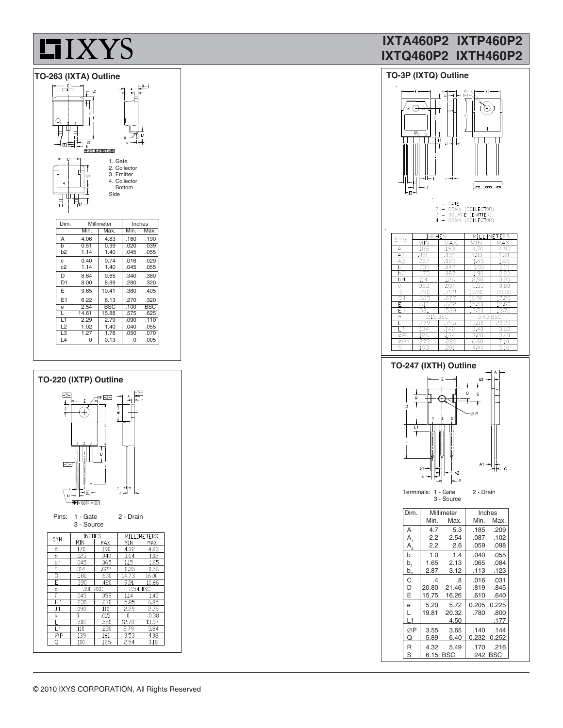

#### **TO-263 (IXTA) Outline TO-3P (IXTQ) Outline**  $\frac{-B-1}{2}$ ᡩ ⊍ – ו Ċ  $b2$ 라리 b<br>| + 010 0.25 00 8 A 00 0 1. Gate 2. Collector 3. Emitter 4. Collector Bottom J O Side U ᆥᆆ Dim. Millimeter Inches<br>Min. Max. Min. M  $\frac{115155}{\text{Min.} + \text{Max.}}$ A 4.06 4.83 .160 .190<br>b 0.51 0.99 .020 .039 b 0.51 0.99 .020 .039<br>b2 1.14 1.40 .045 .055  $1.40$ c  $0.40$  0.74 .016 .029<br>c2 1.14 1.40 .045 .055  $1.40$  $\begin{array}{|c|c|c|c|c|c|c|c|} \hline \text{D} & 8.64 & 9.65 & .340 & .380 \\ \hline \text{D1} & 8.00 & 8.89 & .280 & .320 \\\hline \end{array}$  $8.00$   $8.89$   $280$   $320$  $E$  | 9.65 | 10.41 | .380 | .405 E1 6.22 8.13 .270 .320 e 2.54 BSC .100 BSC<br>L 14.61 15.88 .575 .625 L 14.61 15.88 .575 .625<br>L1 2.29 2.79 .090 .110 L1 2.29 2.79 .090 .110<br>12 102 140 040 055 L2 | 1.02 | 1.40 | 040 | 055 L3 1.27 1.78 .050 .070<br>L4 0 0.13 0 .005



 $0.13$ 

## **IXTA460P2 IXTP460P2 IXTQ460P2 IXTH460P2**

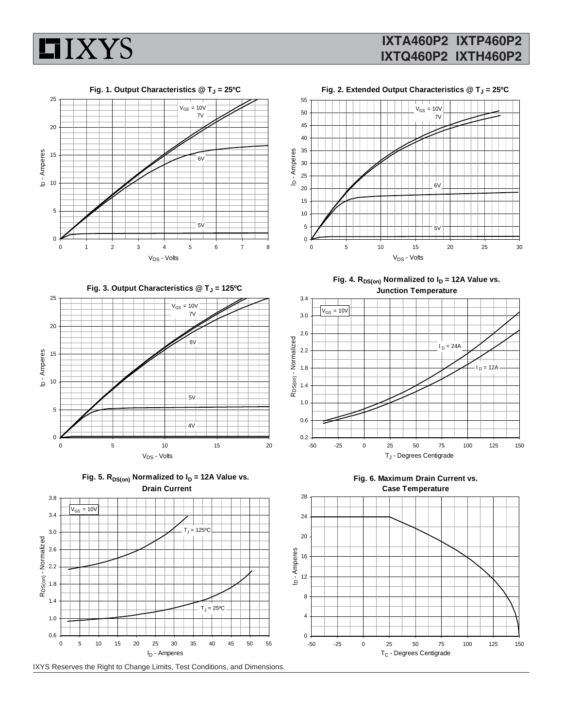



## Fig. 2. Extended Output Characteristics @ T<sub>J</sub> = 25°C



Fig. 3. Output Characteristics @ T<sub>J</sub> = 125°C









Fig. 4.  $R_{DS(on)}$  Normalized to  $I_D = 12A$  Value vs. **Junction Temperature**





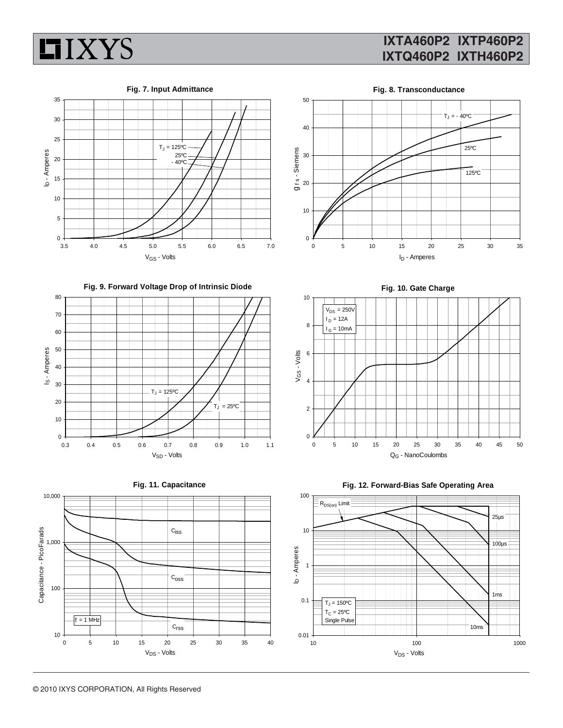

## **IXTA460P2 IXTP460P2 IXTQ460P2 IXTH460P2**







**Fig. 9. Forward Voltage Drop of Intrinsic Diode**







**Fig. 10. Gate Charge**